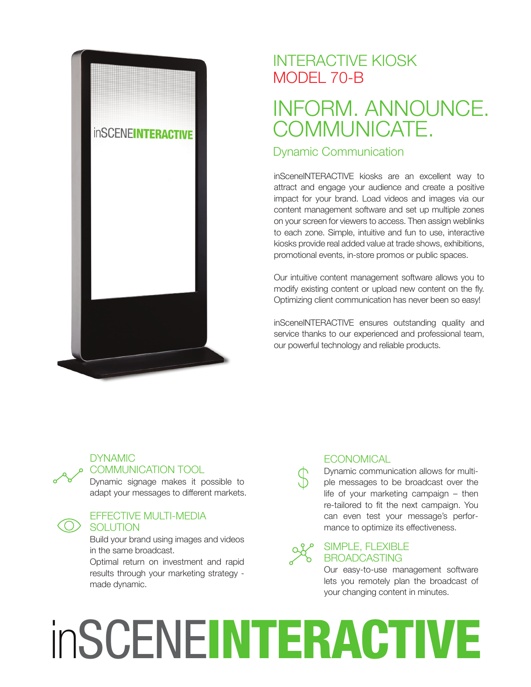

### INTERACTIVE KIOSK MODEL 70-B

## INFORM. ANNOUNCE. COMMUNICATE.

#### Dynamic Communication

inSceneINTERACTIVE kiosks are an excellent way to attract and engage your audience and create a positive impact for your brand. Load videos and images via our content management software and set up multiple zones on your screen for viewers to access. Then assign weblinks to each zone. Simple, intuitive and fun to use, interactive kiosks provide real added value at trade shows, exhibitions, promotional events, in-store promos or public spaces.

Our intuitive content management software allows you to modify existing content or upload new content on the fly. Optimizing client communication has never been so easy!

inSceneINTERACTIVE ensures outstanding quality and service thanks to our experienced and professional team, our powerful technology and reliable products.

### **DYNAMIC**

#### COMMUNICATION TOOL

Dynamic signage makes it possible to adapt your messages to different markets.

#### EFFECTIVE MULTI-MEDIA **SOLUTION**

Build your brand using images and videos in the same broadcast.

Optimal return on investment and rapid results through your marketing strategy made dynamic.

#### **ECONOMICAL**

Dynamic communication allows for multiple messages to be broadcast over the life of your marketing campaign – then re-tailored to fit the next campaign. You can even test your message's performance to optimize its effectiveness.

#### SIMPLE, FLEXIBLE BROADCASTING

Our easy-to-use management software lets you remotely plan the broadcast of your changing content in minutes.

# inSCENEINTERACTIVE